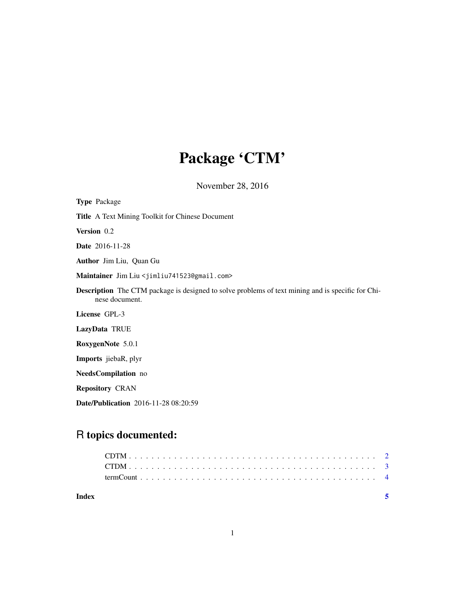## Package 'CTM'

November 28, 2016

| <b>Type Package</b>                                                                                                        |
|----------------------------------------------------------------------------------------------------------------------------|
| Title A Text Mining Toolkit for Chinese Document                                                                           |
| Version 0.2                                                                                                                |
| <b>Date</b> 2016-11-28                                                                                                     |
| Author Jim Liu, Quan Gu                                                                                                    |
| Maintainer Jim Liu <jimliu741523@gmail.com></jimliu741523@gmail.com>                                                       |
| <b>Description</b> The CTM package is designed to solve problems of text mining and is specific for Chi-<br>nese document. |
| License GPL-3                                                                                                              |
| LazyData TRUE                                                                                                              |
| RoxygenNote 5.0.1                                                                                                          |
| <b>Imports</b> jiebaR, plyr                                                                                                |
| NeedsCompilation no                                                                                                        |
| <b>Repository CRAN</b>                                                                                                     |
| <b>Date/Publication</b> 2016-11-28 08:20:59                                                                                |

### R topics documented: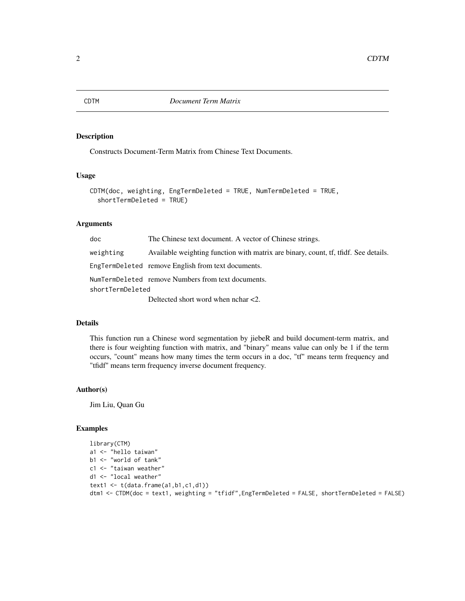#### Description

Constructs Document-Term Matrix from Chinese Text Documents.

#### Usage

```
CDTM(doc, weighting, EngTermDeleted = TRUE, NumTermDeleted = TRUE,
  shortTermDeleted = TRUE)
```
#### **Arguments**

| doc              | The Chinese text document. A vector of Chinese strings.                             |
|------------------|-------------------------------------------------------------------------------------|
| weighting        | Available weighting function with matrix are binary, count, tf, tfidf. See details. |
|                  | EngTermDeleted remove English from text documents.                                  |
|                  | NumTermDeleted remove Numbers from text documents.                                  |
| shortTermDeleted |                                                                                     |
|                  | Deltected short word when $nchar < 2$ .                                             |

#### Details

This function run a Chinese word segmentation by jiebeR and build document-term matrix, and there is four weighting function with matrix, and "binary" means value can only be 1 if the term occurs, "count" means how many times the term occurs in a doc, "tf" means term frequency and "tfidf" means term frequency inverse document frequency.

#### Author(s)

Jim Liu, Quan Gu

#### Examples

```
library(CTM)
a1 <- "hello taiwan"
b1 <- "world of tank"
c1 <- "taiwan weather"
d1 <- "local weather"
text1 \leftarrow t(data.frame(a1,b1,c1,d1))
dtm1 <- CTDM(doc = text1, weighting = "tfidf",EngTermDeleted = FALSE, shortTermDeleted = FALSE)
```
<span id="page-1-0"></span>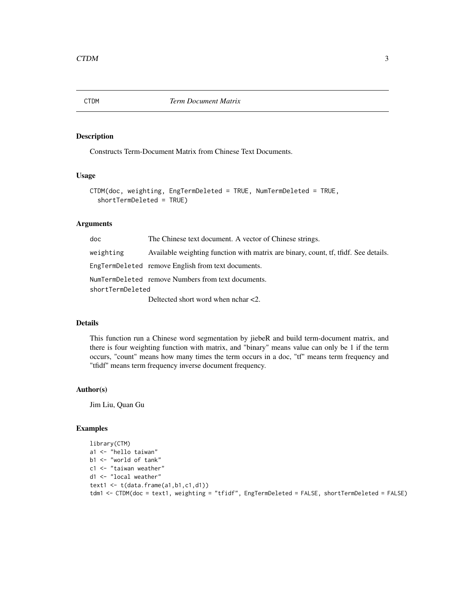<span id="page-2-0"></span>

#### Description

Constructs Term-Document Matrix from Chinese Text Documents.

#### Usage

```
CTDM(doc, weighting, EngTermDeleted = TRUE, NumTermDeleted = TRUE,
  shortTermDeleted = TRUE)
```
#### **Arguments**

| doc              | The Chinese text document. A vector of Chinese strings.                             |
|------------------|-------------------------------------------------------------------------------------|
| weighting        | Available weighting function with matrix are binary, count, tf, tfidf. See details. |
|                  | EngTermDeleted remove English from text documents.                                  |
|                  | NumTermDeleted remove Numbers from text documents.                                  |
| shortTermDeleted |                                                                                     |
|                  | Deltected short word when $nchar < 2$ .                                             |

#### Details

This function run a Chinese word segmentation by jiebeR and build term-document matrix, and there is four weighting function with matrix, and "binary" means value can only be 1 if the term occurs, "count" means how many times the term occurs in a doc, "tf" means term frequency and "tfidf" means term frequency inverse document frequency.

#### Author(s)

Jim Liu, Quan Gu

#### Examples

```
library(CTM)
a1 <- "hello taiwan"
b1 <- "world of tank"
c1 <- "taiwan weather"
d1 <- "local weather"
text1 \leftarrow t(data.frame(a1,b1,c1,d1))
tdm1 <- CTDM(doc = text1, weighting = "tfidf", EngTermDeleted = FALSE, shortTermDeleted = FALSE)
```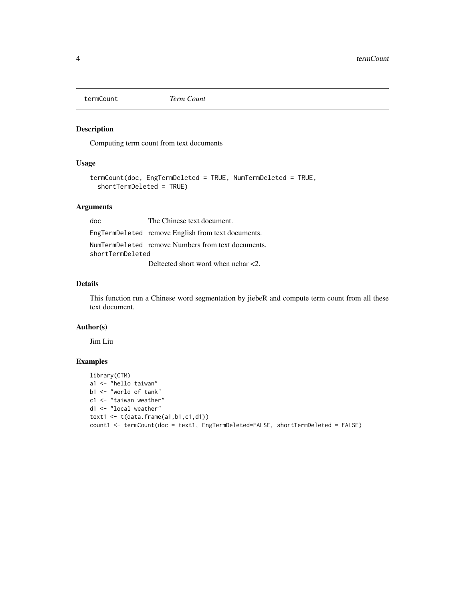<span id="page-3-0"></span>

#### Description

Computing term count from text documents

#### Usage

```
termCount(doc, EngTermDeleted = TRUE, NumTermDeleted = TRUE,
  shortTermDeleted = TRUE)
```
#### Arguments

doc The Chinese text document. EngTermDeleted remove English from text documents. NumTermDeleted remove Numbers from text documents. shortTermDeleted

Deltected short word when nchar <2.

#### Details

This function run a Chinese word segmentation by jiebeR and compute term count from all these text document.

#### Author(s)

Jim Liu

#### Examples

```
library(CTM)
a1 <- "hello taiwan"
b1 <- "world of tank"
c1 <- "taiwan weather"
d1 <- "local weather"
text1 \leftarrow t(data.frame(a1,b1,c1,d1))
count1 <- termCount(doc = text1, EngTermDeleted=FALSE, shortTermDeleted = FALSE)
```